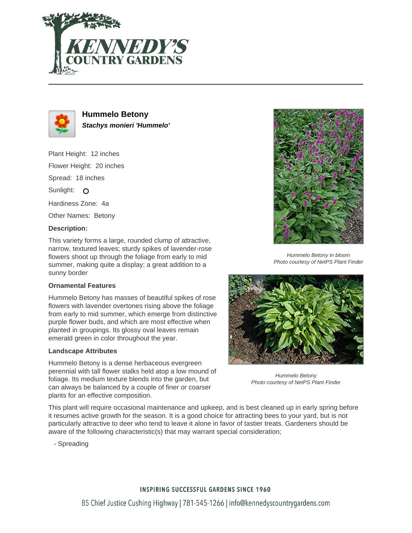



**Hummelo Betony Stachys monieri 'Hummelo'**

Plant Height: 12 inches Flower Height: 20 inches Spread: 18 inches Sunlight: O Hardiness Zone: 4a Other Names: Betony

### **Description:**

This variety forms a large, rounded clump of attractive, narrow, textured leaves; sturdy spikes of lavender-rose flowers shoot up through the foliage from early to mid summer, making quite a display; a great addition to a sunny border

### **Ornamental Features**

Hummelo Betony has masses of beautiful spikes of rose flowers with lavender overtones rising above the foliage from early to mid summer, which emerge from distinctive purple flower buds, and which are most effective when planted in groupings. Its glossy oval leaves remain emerald green in color throughout the year.

### **Landscape Attributes**

Hummelo Betony is a dense herbaceous evergreen perennial with tall flower stalks held atop a low mound of foliage. Its medium texture blends into the garden, but can always be balanced by a couple of finer or coarser plants for an effective composition.



Hummelo Betony in bloom Photo courtesy of NetPS Plant Finder



Hummelo Betony Photo courtesy of NetPS Plant Finder

This plant will require occasional maintenance and upkeep, and is best cleaned up in early spring before it resumes active growth for the season. It is a good choice for attracting bees to your yard, but is not particularly attractive to deer who tend to leave it alone in favor of tastier treats. Gardeners should be aware of the following characteristic(s) that may warrant special consideration;

- Spreading

# **INSPIRING SUCCESSFUL GARDENS SINCE 1960** 85 Chief Justice Cushing Highway | 781-545-1266 | info@kennedyscountrygardens.com